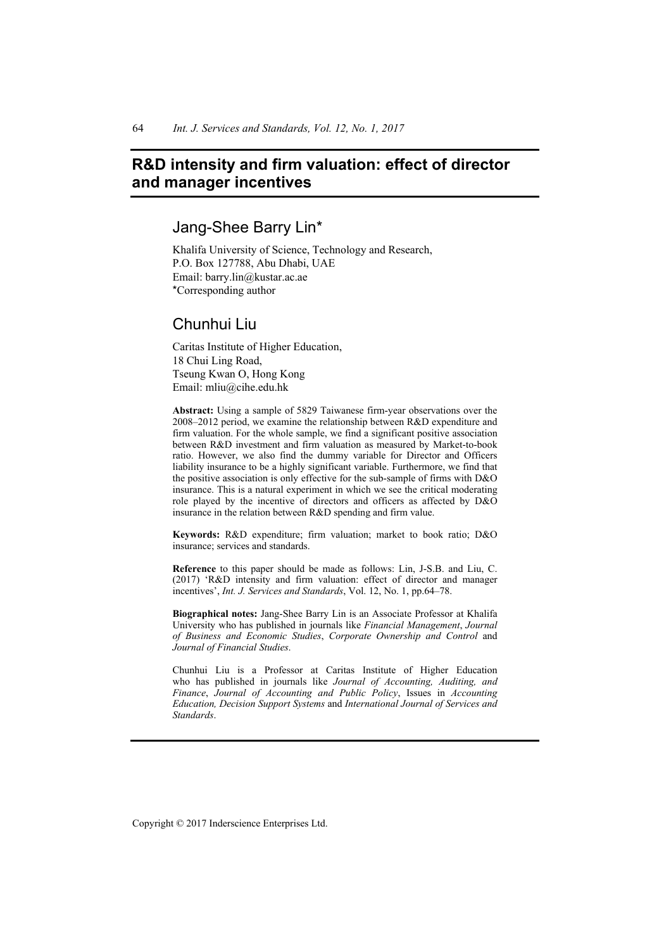# **R&D intensity and firm valuation: effect of director and manager incentives**

# Jang-Shee Barry Lin\*

Khalifa University of Science, Technology and Research, P.O. Box 127788, Abu Dhabi, UAE Email: barry.lin@kustar.ac.ae \*Corresponding author

# Chunhui Liu

Caritas Institute of Higher Education, 18 Chui Ling Road, Tseung Kwan O, Hong Kong Email: mliu@cihe.edu.hk

**Abstract:** Using a sample of 5829 Taiwanese firm-year observations over the 2008–2012 period, we examine the relationship between R&D expenditure and firm valuation. For the whole sample, we find a significant positive association between R&D investment and firm valuation as measured by Market-to-book ratio. However, we also find the dummy variable for Director and Officers liability insurance to be a highly significant variable. Furthermore, we find that the positive association is only effective for the sub-sample of firms with D&O insurance. This is a natural experiment in which we see the critical moderating role played by the incentive of directors and officers as affected by D&O insurance in the relation between R&D spending and firm value.

**Keywords:** R&D expenditure; firm valuation; market to book ratio; D&O insurance; services and standards.

**Reference** to this paper should be made as follows: Lin, J-S.B. and Liu, C. (2017) 'R&D intensity and firm valuation: effect of director and manager incentives', *Int. J. Services and Standards*, Vol. 12, No. 1, pp.64–78.

**Biographical notes:** Jang-Shee Barry Lin is an Associate Professor at Khalifa University who has published in journals like *Financial Management*, *Journal of Business and Economic Studies*, *Corporate Ownership and Control* and *Journal of Financial Studies*.

Chunhui Liu is a Professor at Caritas Institute of Higher Education who has published in journals like *Journal of Accounting, Auditing, and Finance*, *Journal of Accounting and Public Policy*, Issues in *Accounting Education, Decision Support Systems* and *International Journal of Services and Standards*.

Copyright © 2017 Inderscience Enterprises Ltd.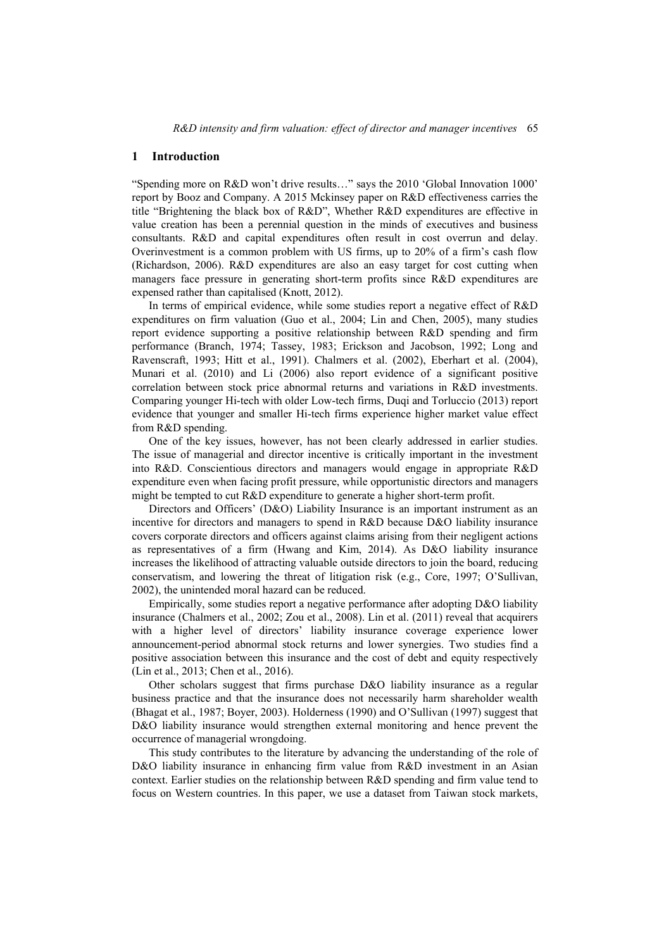### **1 Introduction**

"Spending more on R&D won't drive results…" says the 2010 'Global Innovation 1000' report by Booz and Company. A 2015 Mckinsey paper on R&D effectiveness carries the title "Brightening the black box of R&D", Whether R&D expenditures are effective in value creation has been a perennial question in the minds of executives and business consultants. R&D and capital expenditures often result in cost overrun and delay. Overinvestment is a common problem with US firms, up to 20% of a firm's cash flow (Richardson, 2006). R&D expenditures are also an easy target for cost cutting when managers face pressure in generating short-term profits since R&D expenditures are expensed rather than capitalised (Knott, 2012).

In terms of empirical evidence, while some studies report a negative effect of R&D expenditures on firm valuation (Guo et al., 2004; Lin and Chen, 2005), many studies report evidence supporting a positive relationship between R&D spending and firm performance (Branch, 1974; Tassey, 1983; Erickson and Jacobson, 1992; Long and Ravenscraft, 1993; Hitt et al., 1991). Chalmers et al. (2002), Eberhart et al. (2004), Munari et al. (2010) and Li (2006) also report evidence of a significant positive correlation between stock price abnormal returns and variations in R&D investments. Comparing younger Hi-tech with older Low-tech firms, Duqi and Torluccio (2013) report evidence that younger and smaller Hi-tech firms experience higher market value effect from R&D spending.

One of the key issues, however, has not been clearly addressed in earlier studies. The issue of managerial and director incentive is critically important in the investment into R&D. Conscientious directors and managers would engage in appropriate R&D expenditure even when facing profit pressure, while opportunistic directors and managers might be tempted to cut R&D expenditure to generate a higher short-term profit.

Directors and Officers' (D&O) Liability Insurance is an important instrument as an incentive for directors and managers to spend in R&D because D&O liability insurance covers corporate directors and officers against claims arising from their negligent actions as representatives of a firm (Hwang and Kim, 2014). As D&O liability insurance increases the likelihood of attracting valuable outside directors to join the board, reducing conservatism, and lowering the threat of litigation risk (e.g., Core, 1997; O'Sullivan, 2002), the unintended moral hazard can be reduced.

Empirically, some studies report a negative performance after adopting D&O liability insurance (Chalmers et al., 2002; Zou et al., 2008). Lin et al. (2011) reveal that acquirers with a higher level of directors' liability insurance coverage experience lower announcement-period abnormal stock returns and lower synergies. Two studies find a positive association between this insurance and the cost of debt and equity respectively (Lin et al., 2013; Chen et al., 2016).

Other scholars suggest that firms purchase D&O liability insurance as a regular business practice and that the insurance does not necessarily harm shareholder wealth (Bhagat et al., 1987; Boyer, 2003). Holderness (1990) and O'Sullivan (1997) suggest that D&O liability insurance would strengthen external monitoring and hence prevent the occurrence of managerial wrongdoing.

This study contributes to the literature by advancing the understanding of the role of D&O liability insurance in enhancing firm value from R&D investment in an Asian context. Earlier studies on the relationship between R&D spending and firm value tend to focus on Western countries. In this paper, we use a dataset from Taiwan stock markets,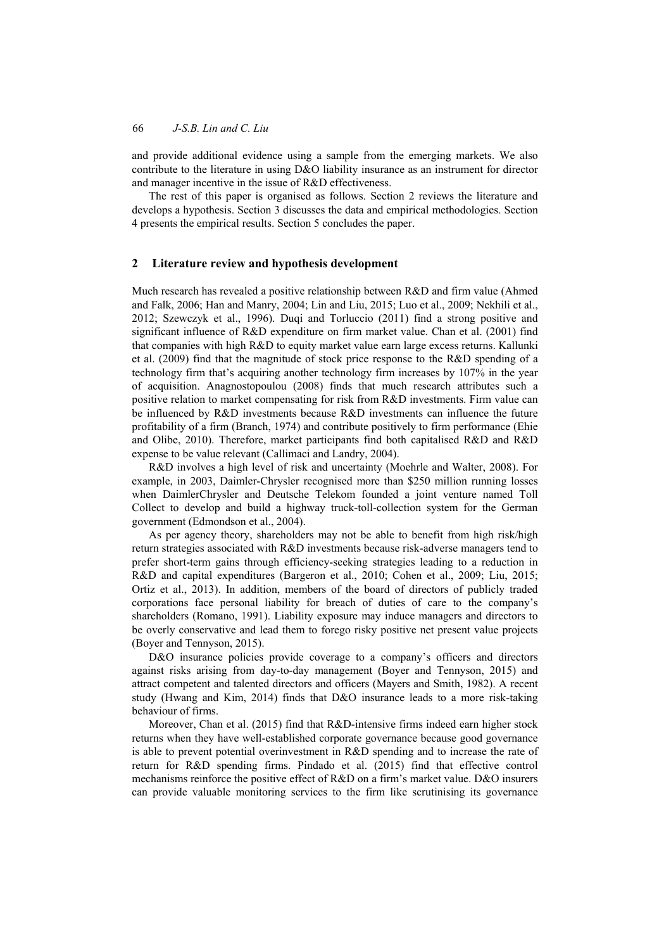and provide additional evidence using a sample from the emerging markets. We also contribute to the literature in using D&O liability insurance as an instrument for director and manager incentive in the issue of R&D effectiveness.

The rest of this paper is organised as follows. Section 2 reviews the literature and develops a hypothesis. Section 3 discusses the data and empirical methodologies. Section 4 presents the empirical results. Section 5 concludes the paper.

# **2 Literature review and hypothesis development**

Much research has revealed a positive relationship between R&D and firm value (Ahmed and Falk, 2006; Han and Manry, 2004; Lin and Liu, 2015; Luo et al., 2009; Nekhili et al., 2012; Szewczyk et al., 1996). Duqi and Torluccio (2011) find a strong positive and significant influence of R&D expenditure on firm market value. Chan et al. (2001) find that companies with high R&D to equity market value earn large excess returns. Kallunki et al. (2009) find that the magnitude of stock price response to the R&D spending of a technology firm that's acquiring another technology firm increases by 107% in the year of acquisition. Anagnostopoulou (2008) finds that much research attributes such a positive relation to market compensating for risk from R&D investments. Firm value can be influenced by R&D investments because R&D investments can influence the future profitability of a firm (Branch, 1974) and contribute positively to firm performance (Ehie and Olibe, 2010). Therefore, market participants find both capitalised R&D and R&D expense to be value relevant (Callimaci and Landry, 2004).

R&D involves a high level of risk and uncertainty (Moehrle and Walter, 2008). For example, in 2003, Daimler-Chrysler recognised more than \$250 million running losses when DaimlerChrysler and Deutsche Telekom founded a joint venture named Toll Collect to develop and build a highway truck-toll-collection system for the German government (Edmondson et al., 2004).

As per agency theory, shareholders may not be able to benefit from high risk/high return strategies associated with R&D investments because risk-adverse managers tend to prefer short-term gains through efficiency-seeking strategies leading to a reduction in R&D and capital expenditures (Bargeron et al., 2010; Cohen et al., 2009; Liu, 2015; Ortiz et al., 2013). In addition, members of the board of directors of publicly traded corporations face personal liability for breach of duties of care to the company's shareholders (Romano, 1991). Liability exposure may induce managers and directors to be overly conservative and lead them to forego risky positive net present value projects (Boyer and Tennyson, 2015).

D&O insurance policies provide coverage to a company's officers and directors against risks arising from day-to-day management (Boyer and Tennyson, 2015) and attract competent and talented directors and officers (Mayers and Smith, 1982). A recent study (Hwang and Kim, 2014) finds that D&O insurance leads to a more risk-taking behaviour of firms.

Moreover, Chan et al. (2015) find that R&D-intensive firms indeed earn higher stock returns when they have well-established corporate governance because good governance is able to prevent potential overinvestment in R&D spending and to increase the rate of return for R&D spending firms. Pindado et al. (2015) find that effective control mechanisms reinforce the positive effect of R&D on a firm's market value. D&O insurers can provide valuable monitoring services to the firm like scrutinising its governance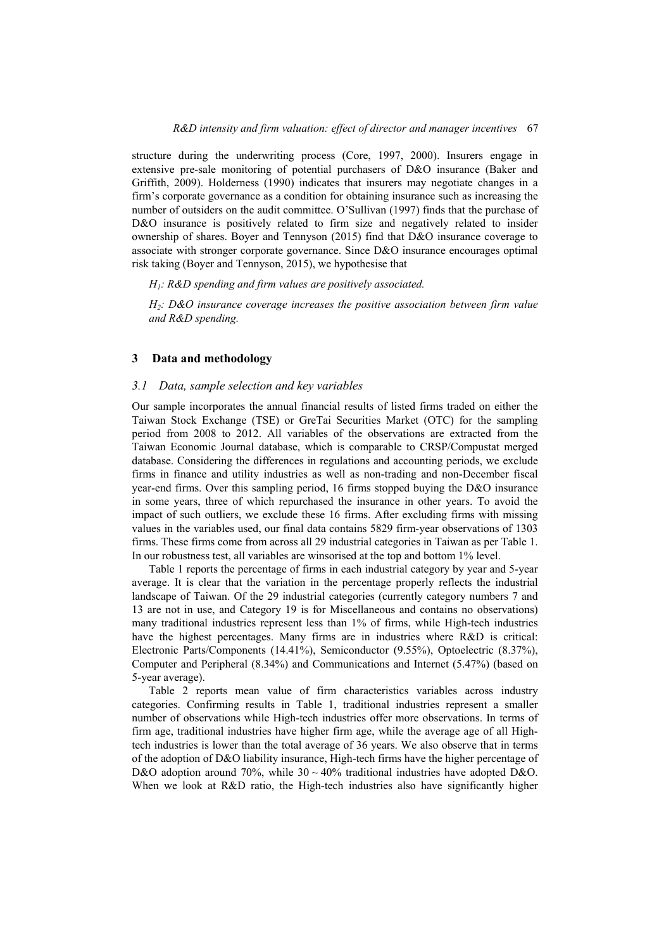structure during the underwriting process (Core, 1997, 2000). Insurers engage in extensive pre-sale monitoring of potential purchasers of D&O insurance (Baker and Griffith, 2009). Holderness (1990) indicates that insurers may negotiate changes in a firm's corporate governance as a condition for obtaining insurance such as increasing the number of outsiders on the audit committee. O'Sullivan (1997) finds that the purchase of D&O insurance is positively related to firm size and negatively related to insider ownership of shares. Boyer and Tennyson (2015) find that D&O insurance coverage to associate with stronger corporate governance. Since D&O insurance encourages optimal risk taking (Boyer and Tennyson, 2015), we hypothesise that

*H1: R&D spending and firm values are positively associated.* 

*H2: D&O insurance coverage increases the positive association between firm value and R&D spending.* 

### **3 Data and methodology**

#### *3.1 Data, sample selection and key variables*

Our sample incorporates the annual financial results of listed firms traded on either the Taiwan Stock Exchange (TSE) or GreTai Securities Market (OTC) for the sampling period from 2008 to 2012. All variables of the observations are extracted from the Taiwan Economic Journal database, which is comparable to CRSP/Compustat merged database. Considering the differences in regulations and accounting periods, we exclude firms in finance and utility industries as well as non-trading and non-December fiscal year-end firms. Over this sampling period, 16 firms stopped buying the D&O insurance in some years, three of which repurchased the insurance in other years. To avoid the impact of such outliers, we exclude these 16 firms. After excluding firms with missing values in the variables used, our final data contains 5829 firm-year observations of 1303 firms. These firms come from across all 29 industrial categories in Taiwan as per Table 1. In our robustness test, all variables are winsorised at the top and bottom 1% level.

Table 1 reports the percentage of firms in each industrial category by year and 5-year average. It is clear that the variation in the percentage properly reflects the industrial landscape of Taiwan. Of the 29 industrial categories (currently category numbers 7 and 13 are not in use, and Category 19 is for Miscellaneous and contains no observations) many traditional industries represent less than 1% of firms, while High-tech industries have the highest percentages. Many firms are in industries where R&D is critical: Electronic Parts/Components (14.41%), Semiconductor (9.55%), Optoelectric (8.37%), Computer and Peripheral (8.34%) and Communications and Internet (5.47%) (based on 5-year average).

Table 2 reports mean value of firm characteristics variables across industry categories. Confirming results in Table 1, traditional industries represent a smaller number of observations while High-tech industries offer more observations. In terms of firm age, traditional industries have higher firm age, while the average age of all Hightech industries is lower than the total average of 36 years. We also observe that in terms of the adoption of D&O liability insurance, High-tech firms have the higher percentage of D&O adoption around 70%, while  $30 \sim 40\%$  traditional industries have adopted D&O. When we look at R&D ratio, the High-tech industries also have significantly higher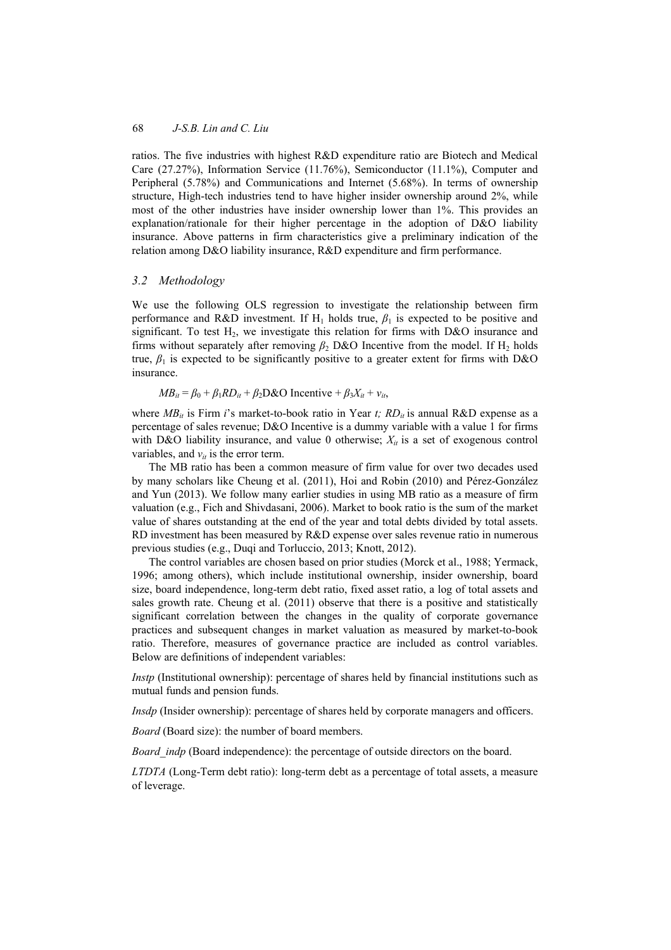ratios. The five industries with highest R&D expenditure ratio are Biotech and Medical Care (27.27%), Information Service (11.76%), Semiconductor (11.1%), Computer and Peripheral (5.78%) and Communications and Internet (5.68%). In terms of ownership structure, High-tech industries tend to have higher insider ownership around 2%, while most of the other industries have insider ownership lower than 1%. This provides an explanation/rationale for their higher percentage in the adoption of D&O liability insurance. Above patterns in firm characteristics give a preliminary indication of the relation among D&O liability insurance, R&D expenditure and firm performance.

#### *3.2 Methodology*

We use the following OLS regression to investigate the relationship between firm performance and R&D investment. If H<sub>1</sub> holds true,  $\beta_1$  is expected to be positive and significant. To test  $H_2$ , we investigate this relation for firms with D&O insurance and firms without separately after removing  $\beta_2$  D&O Incentive from the model. If H<sub>2</sub> holds true,  $\beta_1$  is expected to be significantly positive to a greater extent for firms with D&O insurance.

 $MB_{it} = \beta_0 + \beta_1 RD_{it} + \beta_2 D \& O$  Incentive  $+\beta_3 X_{it} + v_{it}$ ,

where  $MB_{it}$  is Firm *i*'s market-to-book ratio in Year *t;*  $RD_{it}$  is annual R&D expense as a percentage of sales revenue; D&O Incentive is a dummy variable with a value 1 for firms with D&O liability insurance, and value 0 otherwise;  $X_{it}$  is a set of exogenous control variables, and  $v_{it}$  is the error term.

The MB ratio has been a common measure of firm value for over two decades used by many scholars like Cheung et al. (2011), Hoi and Robin (2010) and Pérez-González and Yun (2013). We follow many earlier studies in using MB ratio as a measure of firm valuation (e.g., Fich and Shivdasani, 2006). Market to book ratio is the sum of the market value of shares outstanding at the end of the year and total debts divided by total assets. RD investment has been measured by R&D expense over sales revenue ratio in numerous previous studies (e.g., Duqi and Torluccio, 2013; Knott, 2012).

The control variables are chosen based on prior studies (Morck et al., 1988; Yermack, 1996; among others), which include institutional ownership, insider ownership, board size, board independence, long-term debt ratio, fixed asset ratio, a log of total assets and sales growth rate. Cheung et al. (2011) observe that there is a positive and statistically significant correlation between the changes in the quality of corporate governance practices and subsequent changes in market valuation as measured by market-to-book ratio. Therefore, measures of governance practice are included as control variables. Below are definitions of independent variables:

*Instp* (Institutional ownership): percentage of shares held by financial institutions such as mutual funds and pension funds.

*Insdp* (Insider ownership): percentage of shares held by corporate managers and officers.

*Board* (Board size): the number of board members.

*Board indp* (Board independence): the percentage of outside directors on the board.

*LTDTA* (Long-Term debt ratio): long-term debt as a percentage of total assets, a measure of leverage.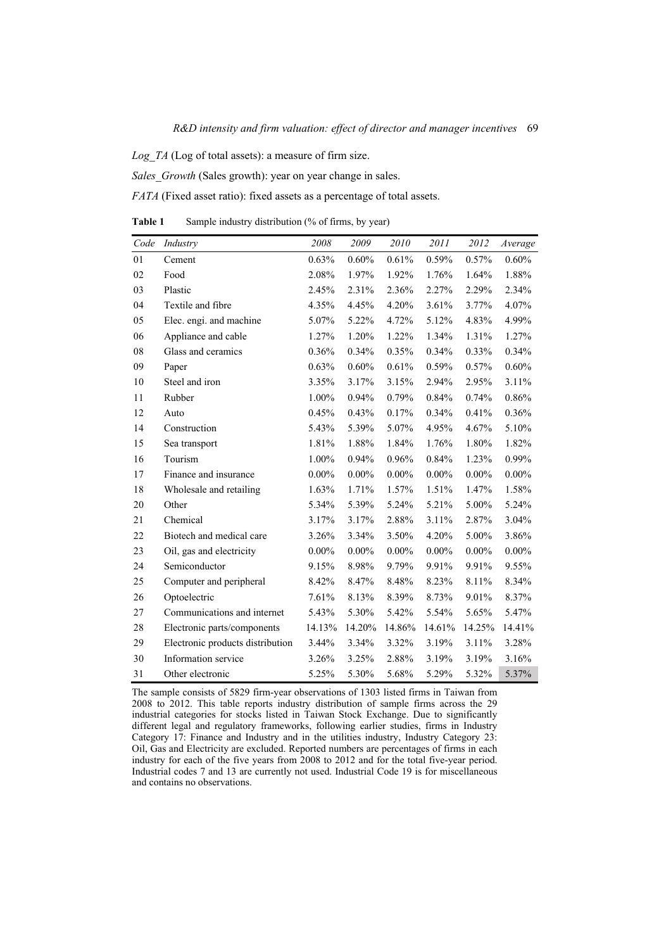*Log TA* (Log of total assets): a measure of firm size.

*Sales Growth (Sales growth): year on year change in sales.* 

*FATA* (Fixed asset ratio): fixed assets as a percentage of total assets.

**Table 1** Sample industry distribution (% of firms, by year)

| Code | Industry                         | 2008     | 2009     | <i>2010</i> | 2011     | 2012     | Average  |
|------|----------------------------------|----------|----------|-------------|----------|----------|----------|
| 01   | Cement                           | 0.63%    | 0.60%    | 0.61%       | 0.59%    | 0.57%    | 0.60%    |
| 02   | Food                             | 2.08%    | 1.97%    | 1.92%       | 1.76%    | 1.64%    | 1.88%    |
| 03   | Plastic                          | 2.45%    | 2.31%    | 2.36%       | 2.27%    | 2.29%    | 2.34%    |
| 04   | Textile and fibre                | 4.35%    | 4.45%    | 4.20%       | 3.61%    | 3.77%    | 4.07%    |
| 05   | Elec. engi. and machine          | 5.07%    | 5.22%    | 4.72%       | 5.12%    | 4.83%    | 4.99%    |
| 06   | Appliance and cable              | 1.27%    | 1.20%    | 1.22%       | 1.34%    | 1.31%    | 1.27%    |
| 08   | Glass and ceramics               | $0.36\%$ | 0.34%    | $0.35\%$    | $0.34\%$ | 0.33%    | $0.34\%$ |
| 09   | Paper                            | 0.63%    | 0.60%    | 0.61%       | $0.59\%$ | 0.57%    | $0.60\%$ |
| 10   | Steel and iron                   | 3.35%    | 3.17%    | 3.15%       | 2.94%    | 2.95%    | 3.11%    |
| 11   | Rubber                           | 1.00%    | 0.94%    | 0.79%       | 0.84%    | 0.74%    | 0.86%    |
| 12   | Auto                             | 0.45%    | 0.43%    | 0.17%       | 0.34%    | 0.41%    | 0.36%    |
| 14   | Construction                     | 5.43%    | 5.39%    | 5.07%       | 4.95%    | 4.67%    | 5.10%    |
| 15   | Sea transport                    | 1.81%    | 1.88%    | 1.84%       | 1.76%    | 1.80%    | 1.82%    |
| 16   | Tourism                          | 1.00%    | 0.94%    | 0.96%       | 0.84%    | 1.23%    | 0.99%    |
| 17   | Finance and insurance            | $0.00\%$ | $0.00\%$ | $0.00\%$    | $0.00\%$ | $0.00\%$ | $0.00\%$ |
| 18   | Wholesale and retailing          | 1.63%    | 1.71%    | 1.57%       | 1.51%    | 1.47%    | 1.58%    |
| 20   | Other                            | 5.34%    | 5.39%    | 5.24%       | 5.21%    | 5.00%    | 5.24%    |
| 21   | Chemical                         | 3.17%    | 3.17%    | 2.88%       | 3.11%    | 2.87%    | 3.04%    |
| 22   | Biotech and medical care         | 3.26%    | 3.34%    | 3.50%       | 4.20%    | 5.00%    | 3.86%    |
| 23   | Oil, gas and electricity         | $0.00\%$ | $0.00\%$ | $0.00\%$    | $0.00\%$ | $0.00\%$ | $0.00\%$ |
| 24   | Semiconductor                    | 9.15%    | 8.98%    | 9.79%       | 9.91%    | 9.91%    | 9.55%    |
| 25   | Computer and peripheral          | 8.42%    | 8.47%    | 8.48%       | 8.23%    | 8.11%    | 8.34%    |
| 26   | Optoelectric                     | 7.61%    | 8.13%    | 8.39%       | 8.73%    | 9.01%    | 8.37%    |
| 27   | Communications and internet      | 5.43%    | 5.30%    | 5.42%       | 5.54%    | 5.65%    | 5.47%    |
| 28   | Electronic parts/components      | 14.13%   | 14.20%   | 14.86%      | 14.61%   | 14.25%   | 14.41%   |
| 29   | Electronic products distribution | 3.44%    | 3.34%    | 3.32%       | 3.19%    | 3.11%    | 3.28%    |
| 30   | Information service              | 3.26%    | 3.25%    | 2.88%       | 3.19%    | 3.19%    | 3.16%    |
| 31   | Other electronic                 | 5.25%    | 5.30%    | 5.68%       | 5.29%    | 5.32%    | 5.37%    |

The sample consists of 5829 firm-year observations of 1303 listed firms in Taiwan from 2008 to 2012. This table reports industry distribution of sample firms across the 29 industrial categories for stocks listed in Taiwan Stock Exchange. Due to significantly different legal and regulatory frameworks, following earlier studies, firms in Industry Category 17: Finance and Industry and in the utilities industry, Industry Category 23: Oil, Gas and Electricity are excluded. Reported numbers are percentages of firms in each industry for each of the five years from 2008 to 2012 and for the total five-year period. Industrial codes 7 and 13 are currently not used. Industrial Code 19 is for miscellaneous and contains no observations.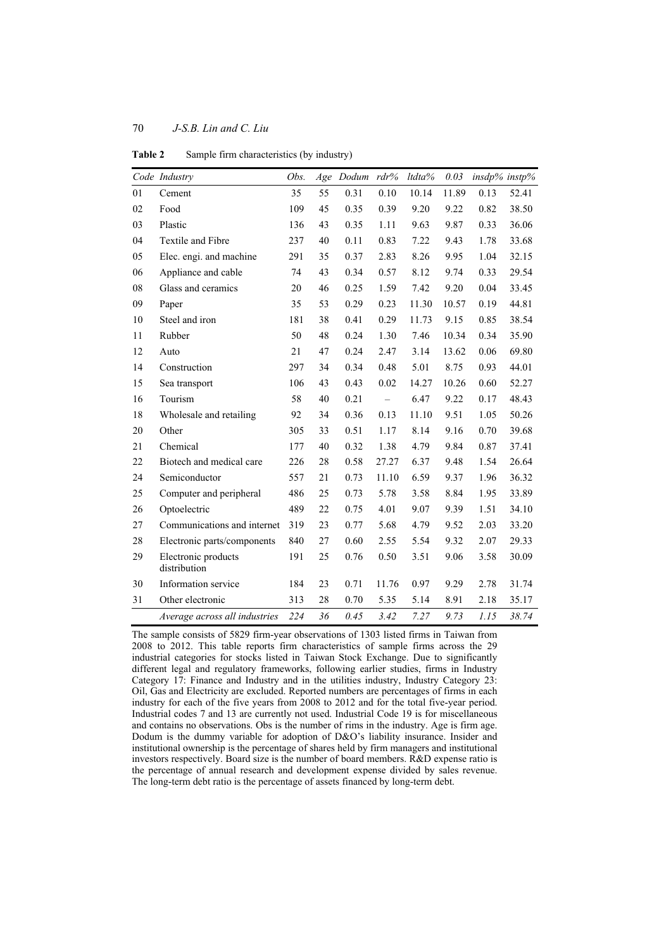|    | Code Industry                       | Obs. |    | Age Dodum rdr% |                   | ltdta% | 0.03  |      | insdp% instp% |
|----|-------------------------------------|------|----|----------------|-------------------|--------|-------|------|---------------|
| 01 | Cement                              | 35   | 55 | 0.31           | 0.10              | 10.14  | 11.89 | 0.13 | 52.41         |
| 02 | Food                                | 109  | 45 | 0.35           | 0.39              | 9.20   | 9.22  | 0.82 | 38.50         |
| 03 | Plastic                             | 136  | 43 | 0.35           | 1.11              | 9.63   | 9.87  | 0.33 | 36.06         |
| 04 | Textile and Fibre                   | 237  | 40 | 0.11           | 0.83              | 7.22   | 9.43  | 1.78 | 33.68         |
| 05 | Elec. engi. and machine             | 291  | 35 | 0.37           | 2.83              | 8.26   | 9.95  | 1.04 | 32.15         |
| 06 | Appliance and cable                 | 74   | 43 | 0.34           | 0.57              | 8.12   | 9.74  | 0.33 | 29.54         |
| 08 | Glass and ceramics                  | 20   | 46 | 0.25           | 1.59              | 7.42   | 9.20  | 0.04 | 33.45         |
| 09 | Paper                               | 35   | 53 | 0.29           | 0.23              | 11.30  | 10.57 | 0.19 | 44.81         |
| 10 | Steel and iron                      | 181  | 38 | 0.41           | 0.29              | 11.73  | 9.15  | 0.85 | 38.54         |
| 11 | Rubber                              | 50   | 48 | 0.24           | 1.30              | 7.46   | 10.34 | 0.34 | 35.90         |
| 12 | Auto                                | 21   | 47 | 0.24           | 2.47              | 3.14   | 13.62 | 0.06 | 69.80         |
| 14 | Construction                        | 297  | 34 | 0.34           | 0.48              | 5.01   | 8.75  | 0.93 | 44.01         |
| 15 | Sea transport                       | 106  | 43 | 0.43           | 0.02              | 14.27  | 10.26 | 0.60 | 52.27         |
| 16 | Tourism                             | 58   | 40 | 0.21           | $\qquad \qquad -$ | 6.47   | 9.22  | 0.17 | 48.43         |
| 18 | Wholesale and retailing             | 92   | 34 | 0.36           | 0.13              | 11.10  | 9.51  | 1.05 | 50.26         |
| 20 | Other                               | 305  | 33 | 0.51           | 1.17              | 8.14   | 9.16  | 0.70 | 39.68         |
| 21 | Chemical                            | 177  | 40 | 0.32           | 1.38              | 4.79   | 9.84  | 0.87 | 37.41         |
| 22 | Biotech and medical care            | 226  | 28 | 0.58           | 27.27             | 6.37   | 9.48  | 1.54 | 26.64         |
| 24 | Semiconductor                       | 557  | 21 | 0.73           | 11.10             | 6.59   | 9.37  | 1.96 | 36.32         |
| 25 | Computer and peripheral             | 486  | 25 | 0.73           | 5.78              | 3.58   | 8.84  | 1.95 | 33.89         |
| 26 | Optoelectric                        | 489  | 22 | 0.75           | 4.01              | 9.07   | 9.39  | 1.51 | 34.10         |
| 27 | Communications and internet         | 319  | 23 | 0.77           | 5.68              | 4.79   | 9.52  | 2.03 | 33.20         |
| 28 | Electronic parts/components         | 840  | 27 | 0.60           | 2.55              | 5.54   | 9.32  | 2.07 | 29.33         |
| 29 | Electronic products<br>distribution | 191  | 25 | 0.76           | 0.50              | 3.51   | 9.06  | 3.58 | 30.09         |
| 30 | Information service                 | 184  | 23 | 0.71           | 11.76             | 0.97   | 9.29  | 2.78 | 31.74         |
| 31 | Other electronic                    | 313  | 28 | 0.70           | 5.35              | 5.14   | 8.91  | 2.18 | 35.17         |
|    | Average across all industries       | 224  | 36 | 0.45           | 3.42              | 7.27   | 9.73  | 1.15 | 38.74         |

**Table 2** Sample firm characteristics (by industry)

The sample consists of 5829 firm-year observations of 1303 listed firms in Taiwan from 2008 to 2012. This table reports firm characteristics of sample firms across the 29 industrial categories for stocks listed in Taiwan Stock Exchange. Due to significantly different legal and regulatory frameworks, following earlier studies, firms in Industry Category 17: Finance and Industry and in the utilities industry, Industry Category 23: Oil, Gas and Electricity are excluded. Reported numbers are percentages of firms in each industry for each of the five years from 2008 to 2012 and for the total five-year period. Industrial codes 7 and 13 are currently not used. Industrial Code 19 is for miscellaneous and contains no observations. Obs is the number of rims in the industry. Age is firm age. Dodum is the dummy variable for adoption of D&O's liability insurance. Insider and institutional ownership is the percentage of shares held by firm managers and institutional investors respectively. Board size is the number of board members. R&D expense ratio is the percentage of annual research and development expense divided by sales revenue. The long-term debt ratio is the percentage of assets financed by long-term debt.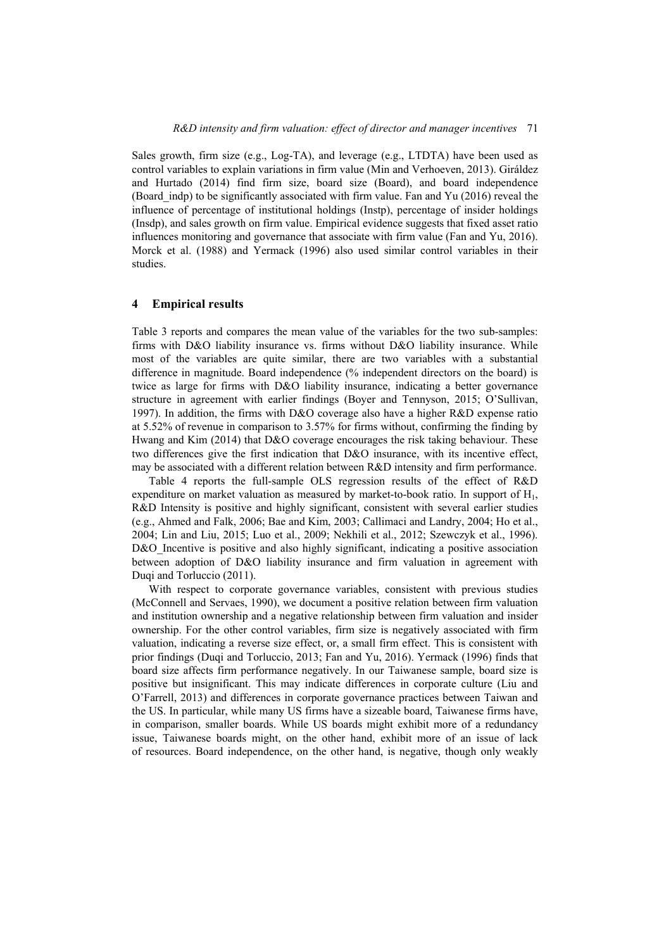Sales growth, firm size (e.g., Log-TA), and leverage (e.g., LTDTA) have been used as control variables to explain variations in firm value (Min and Verhoeven, 2013). Giráldez and Hurtado (2014) find firm size, board size (Board), and board independence (Board indp) to be significantly associated with firm value. Fan and Yu (2016) reveal the influence of percentage of institutional holdings (Instp), percentage of insider holdings (Insdp), and sales growth on firm value. Empirical evidence suggests that fixed asset ratio influences monitoring and governance that associate with firm value (Fan and Yu, 2016). Morck et al. (1988) and Yermack (1996) also used similar control variables in their studies.

# **4 Empirical results**

Table 3 reports and compares the mean value of the variables for the two sub-samples: firms with D&O liability insurance vs. firms without D&O liability insurance. While most of the variables are quite similar, there are two variables with a substantial difference in magnitude. Board independence (% independent directors on the board) is twice as large for firms with D&O liability insurance, indicating a better governance structure in agreement with earlier findings (Boyer and Tennyson, 2015; O'Sullivan, 1997). In addition, the firms with D&O coverage also have a higher R&D expense ratio at 5.52% of revenue in comparison to 3.57% for firms without, confirming the finding by Hwang and Kim (2014) that D&O coverage encourages the risk taking behaviour. These two differences give the first indication that D&O insurance, with its incentive effect, may be associated with a different relation between R&D intensity and firm performance.

Table 4 reports the full-sample OLS regression results of the effect of R&D expenditure on market valuation as measured by market-to-book ratio. In support of  $H<sub>1</sub>$ , R&D Intensity is positive and highly significant, consistent with several earlier studies (e.g., Ahmed and Falk, 2006; Bae and Kim, 2003; Callimaci and Landry, 2004; Ho et al., 2004; Lin and Liu, 2015; Luo et al., 2009; Nekhili et al., 2012; Szewczyk et al., 1996). D&O Incentive is positive and also highly significant, indicating a positive association between adoption of D&O liability insurance and firm valuation in agreement with Duqi and Torluccio (2011).

With respect to corporate governance variables, consistent with previous studies (McConnell and Servaes, 1990), we document a positive relation between firm valuation and institution ownership and a negative relationship between firm valuation and insider ownership. For the other control variables, firm size is negatively associated with firm valuation, indicating a reverse size effect, or, a small firm effect. This is consistent with prior findings (Duqi and Torluccio, 2013; Fan and Yu, 2016). Yermack (1996) finds that board size affects firm performance negatively. In our Taiwanese sample, board size is positive but insignificant. This may indicate differences in corporate culture (Liu and O'Farrell, 2013) and differences in corporate governance practices between Taiwan and the US. In particular, while many US firms have a sizeable board, Taiwanese firms have, in comparison, smaller boards. While US boards might exhibit more of a redundancy issue, Taiwanese boards might, on the other hand, exhibit more of an issue of lack of resources. Board independence, on the other hand, is negative, though only weakly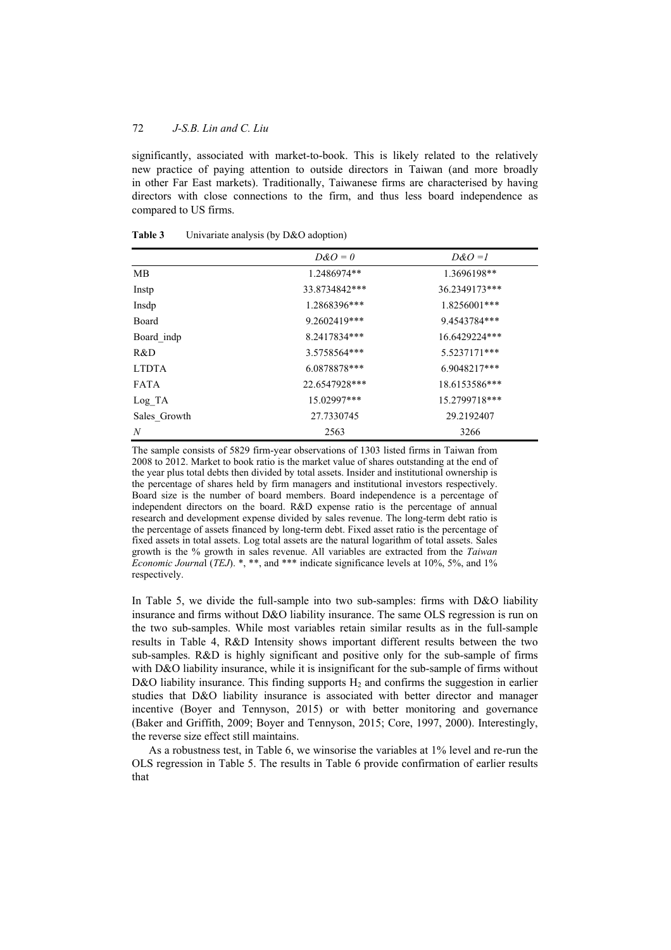significantly, associated with market-to-book. This is likely related to the relatively new practice of paying attention to outside directors in Taiwan (and more broadly in other Far East markets). Traditionally, Taiwanese firms are characterised by having directors with close connections to the firm, and thus less board independence as compared to US firms.

*D&O* = *0 D&O* = *1* MB 1.2486974\*\* 1.3696198\*\* Instp 33.8734842\*\*\* 36.2349173\*\*\* Insdp 1.2868396\*\*\* 1.8256001\*\*\* Board 9.2602419\*\*\* 9.4543784\*\*\* Board\_indp 8.2417834\*\*\* 16.6429224\*\*\* R&D 3.5758564\*\*\* 5.5237171\*\*\* LTDTA 6.0878878\*\*\* 6.9048217\*\*\* FATA 22.6547928\*\*\* 18.6153586\*\*\* Log TA 15.02997\*\*\* 15.2799718\*\*\* Sales Growth 27.7330745 29.2192407 *N* 2563 3266

**Table 3** Univariate analysis (by D&O adoption)

The sample consists of 5829 firm-year observations of 1303 listed firms in Taiwan from 2008 to 2012. Market to book ratio is the market value of shares outstanding at the end of the year plus total debts then divided by total assets. Insider and institutional ownership is the percentage of shares held by firm managers and institutional investors respectively. Board size is the number of board members. Board independence is a percentage of independent directors on the board. R&D expense ratio is the percentage of annual research and development expense divided by sales revenue. The long-term debt ratio is the percentage of assets financed by long-term debt. Fixed asset ratio is the percentage of fixed assets in total assets. Log total assets are the natural logarithm of total assets. Sales growth is the % growth in sales revenue. All variables are extracted from the *Taiwan Economic Journa*l (*TEJ*). \*, \*\*, and \*\*\* indicate significance levels at 10%, 5%, and 1% respectively.

In Table 5, we divide the full-sample into two sub-samples: firms with D&O liability insurance and firms without D&O liability insurance. The same OLS regression is run on the two sub-samples. While most variables retain similar results as in the full-sample results in Table 4, R&D Intensity shows important different results between the two sub-samples. R&D is highly significant and positive only for the sub-sample of firms with D&O liability insurance, while it is insignificant for the sub-sample of firms without D&O liability insurance. This finding supports  $H_2$  and confirms the suggestion in earlier studies that D&O liability insurance is associated with better director and manager incentive (Boyer and Tennyson, 2015) or with better monitoring and governance (Baker and Griffith, 2009; Boyer and Tennyson, 2015; Core, 1997, 2000). Interestingly, the reverse size effect still maintains.

As a robustness test, in Table 6, we winsorise the variables at 1% level and re-run the OLS regression in Table 5. The results in Table 6 provide confirmation of earlier results that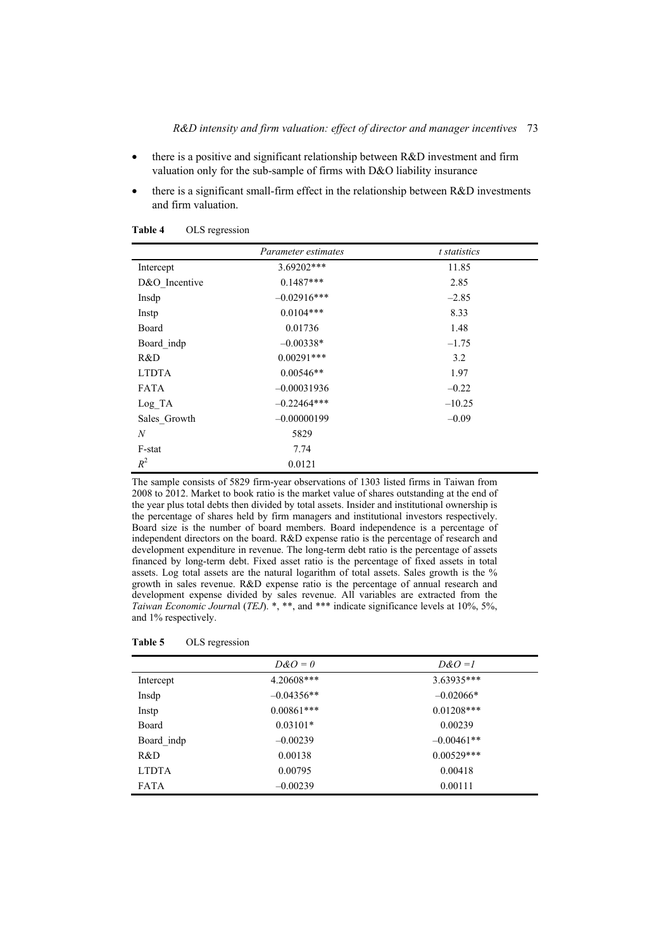- there is a positive and significant relationship between R&D investment and firm valuation only for the sub-sample of firms with D&O liability insurance
- there is a significant small-firm effect in the relationship between R&D investments and firm valuation.

|                  | Parameter estimates | t statistics |
|------------------|---------------------|--------------|
| Intercept        | 3.69202***          | 11.85        |
| D&O Incentive    | $0.1487***$         | 2.85         |
| Insdp            | $-0.02916***$       | $-2.85$      |
| Instp            | $0.0104***$         | 8.33         |
| Board            | 0.01736             | 1.48         |
| Board_indp       | $-0.00338*$         | $-1.75$      |
| R&D              | $0.00291***$        | 3.2          |
| <b>LTDTA</b>     | $0.00546**$         | 1.97         |
| <b>FATA</b>      | $-0.00031936$       | $-0.22$      |
| Log TA           | $-0.22464***$       | $-10.25$     |
| Sales Growth     | $-0.00000199$       | $-0.09$      |
| $\boldsymbol{N}$ | 5829                |              |
| F-stat           | 7.74                |              |
| $R^2$            | 0.0121              |              |

**Table 4** OLS regression

The sample consists of 5829 firm-year observations of 1303 listed firms in Taiwan from 2008 to 2012. Market to book ratio is the market value of shares outstanding at the end of the year plus total debts then divided by total assets. Insider and institutional ownership is the percentage of shares held by firm managers and institutional investors respectively. Board size is the number of board members. Board independence is a percentage of independent directors on the board. R&D expense ratio is the percentage of research and development expenditure in revenue. The long-term debt ratio is the percentage of assets financed by long-term debt. Fixed asset ratio is the percentage of fixed assets in total assets. Log total assets are the natural logarithm of total assets. Sales growth is the % growth in sales revenue. R&D expense ratio is the percentage of annual research and development expense divided by sales revenue. All variables are extracted from the *Taiwan Economic Journa*l (*TEJ*). \*, \*\*, and \*\*\* indicate significance levels at 10%, 5%, and 1% respectively.

**Table 5** OLS regression

|              | $D\&O=0$     | $D\&O=1$     |
|--------------|--------------|--------------|
| Intercept    | 4.20608***   | 3.63935***   |
| Insdp        | $-0.04356**$ | $-0.02066*$  |
| Instp        | $0.00861***$ | $0.01208***$ |
| Board        | $0.03101*$   | 0.00239      |
| Board indp   | $-0.00239$   | $-0.00461**$ |
| R&D          | 0.00138      | $0.00529***$ |
| <b>LTDTA</b> | 0.00795      | 0.00418      |
| <b>FATA</b>  | $-0.00239$   | 0.00111      |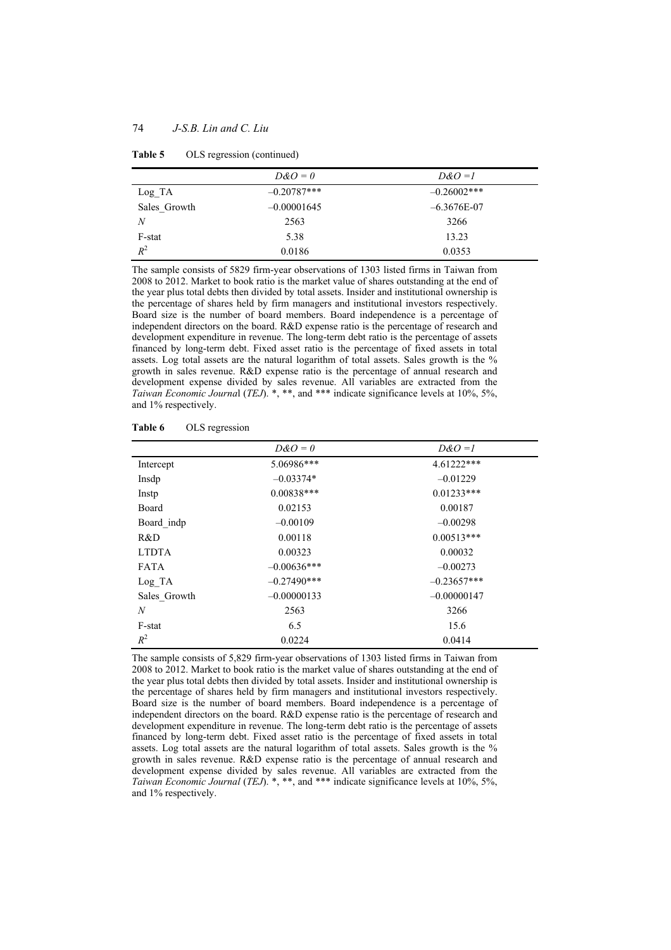| <b>Table 5</b> |  | OLS regression (continued) |
|----------------|--|----------------------------|
|                |  |                            |

|              | $D\&O=0$      | $D\&O=1$       |
|--------------|---------------|----------------|
| Log TA       | $-0.20787***$ | $-0.26002$ *** |
| Sales Growth | $-0.00001645$ | $-6.3676E-07$  |
| N            | 2563          | 3266           |
| F-stat       | 5.38          | 13.23          |
| $R^2$        | 0.0186        | 0.0353         |

The sample consists of 5829 firm-year observations of 1303 listed firms in Taiwan from 2008 to 2012. Market to book ratio is the market value of shares outstanding at the end of the year plus total debts then divided by total assets. Insider and institutional ownership is the percentage of shares held by firm managers and institutional investors respectively. Board size is the number of board members. Board independence is a percentage of independent directors on the board. R&D expense ratio is the percentage of research and development expenditure in revenue. The long-term debt ratio is the percentage of assets financed by long-term debt. Fixed asset ratio is the percentage of fixed assets in total assets. Log total assets are the natural logarithm of total assets. Sales growth is the % growth in sales revenue. R&D expense ratio is the percentage of annual research and development expense divided by sales revenue. All variables are extracted from the *Taiwan Economic Journa*l (*TEJ*). \*, \*\*, and \*\*\* indicate significance levels at 10%, 5%, and 1% respectively.

|                  | $D\&O=0$      | $D\&O=1$      |
|------------------|---------------|---------------|
| Intercept        | 5.06986***    | 4.61222***    |
| Insdp            | $-0.03374*$   | $-0.01229$    |
| Instp            | $0.00838***$  | $0.01233***$  |
| Board            | 0.02153       | 0.00187       |
| Board_indp       | $-0.00109$    | $-0.00298$    |
| R&D              | 0.00118       | $0.00513***$  |
| <b>LTDTA</b>     | 0.00323       | 0.00032       |
| <b>FATA</b>      | $-0.00636***$ | $-0.00273$    |
| Log TA           | $-0.27490***$ | $-0.23657***$ |
| Sales Growth     | $-0.00000133$ | $-0.00000147$ |
| $\boldsymbol{N}$ | 2563          | 3266          |
| F-stat           | 6.5           | 15.6          |
| $R^2$            | 0.0224        | 0.0414        |

**Table 6** OLS regression

The sample consists of 5,829 firm-year observations of 1303 listed firms in Taiwan from 2008 to 2012. Market to book ratio is the market value of shares outstanding at the end of the year plus total debts then divided by total assets. Insider and institutional ownership is the percentage of shares held by firm managers and institutional investors respectively. Board size is the number of board members. Board independence is a percentage of independent directors on the board. R&D expense ratio is the percentage of research and development expenditure in revenue. The long-term debt ratio is the percentage of assets financed by long-term debt. Fixed asset ratio is the percentage of fixed assets in total assets. Log total assets are the natural logarithm of total assets. Sales growth is the % growth in sales revenue. R&D expense ratio is the percentage of annual research and development expense divided by sales revenue. All variables are extracted from the *Taiwan Economic Journal* (*TEJ*). \*, \*\*, and \*\*\* indicate significance levels at 10%, 5%, and 1% respectively.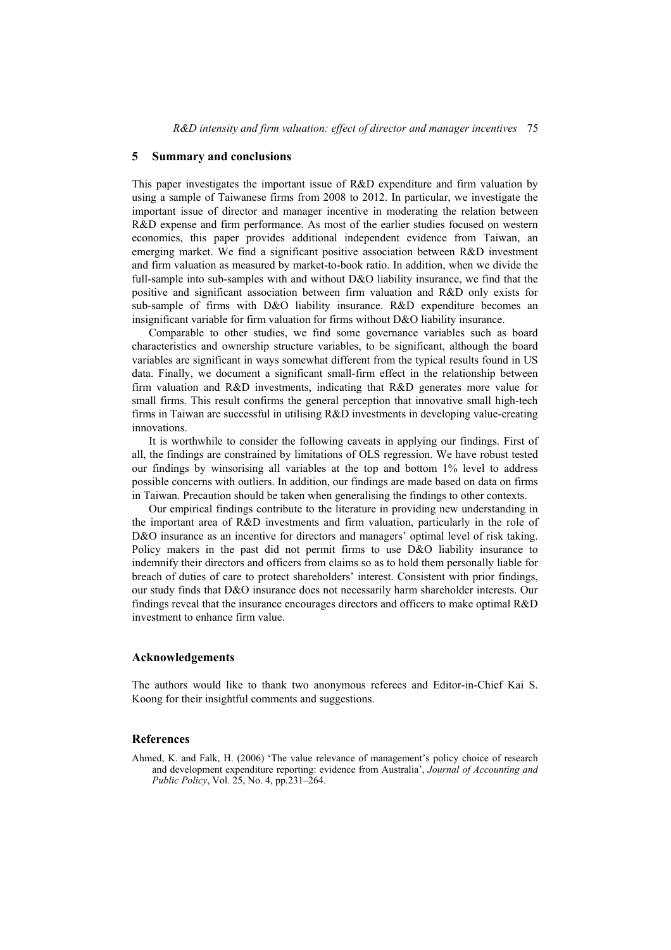*R&D intensity and firm valuation: effect of director and manager incentives* 75

# **5 Summary and conclusions**

This paper investigates the important issue of R&D expenditure and firm valuation by using a sample of Taiwanese firms from 2008 to 2012. In particular, we investigate the important issue of director and manager incentive in moderating the relation between R&D expense and firm performance. As most of the earlier studies focused on western economies, this paper provides additional independent evidence from Taiwan, an emerging market. We find a significant positive association between R&D investment and firm valuation as measured by market-to-book ratio. In addition, when we divide the full-sample into sub-samples with and without D&O liability insurance, we find that the positive and significant association between firm valuation and R&D only exists for sub-sample of firms with D&O liability insurance. R&D expenditure becomes an insignificant variable for firm valuation for firms without D&O liability insurance.

Comparable to other studies, we find some governance variables such as board characteristics and ownership structure variables, to be significant, although the board variables are significant in ways somewhat different from the typical results found in US data. Finally, we document a significant small-firm effect in the relationship between firm valuation and R&D investments, indicating that R&D generates more value for small firms. This result confirms the general perception that innovative small high-tech firms in Taiwan are successful in utilising R&D investments in developing value-creating innovations.

It is worthwhile to consider the following caveats in applying our findings. First of all, the findings are constrained by limitations of OLS regression. We have robust tested our findings by winsorising all variables at the top and bottom 1% level to address possible concerns with outliers. In addition, our findings are made based on data on firms in Taiwan. Precaution should be taken when generalising the findings to other contexts.

Our empirical findings contribute to the literature in providing new understanding in the important area of R&D investments and firm valuation, particularly in the role of D&O insurance as an incentive for directors and managers' optimal level of risk taking. Policy makers in the past did not permit firms to use D&O liability insurance to indemnify their directors and officers from claims so as to hold them personally liable for breach of duties of care to protect shareholders' interest. Consistent with prior findings, our study finds that D&O insurance does not necessarily harm shareholder interests. Our findings reveal that the insurance encourages directors and officers to make optimal R&D investment to enhance firm value.

### **Acknowledgements**

The authors would like to thank two anonymous referees and Editor-in-Chief Kai S. Koong for their insightful comments and suggestions.

## **References**

Ahmed, K. and Falk, H. (2006) 'The value relevance of management's policy choice of research and development expenditure reporting: evidence from Australia', *Journal of Accounting and Public Policy*, Vol. 25, No. 4, pp.231–264.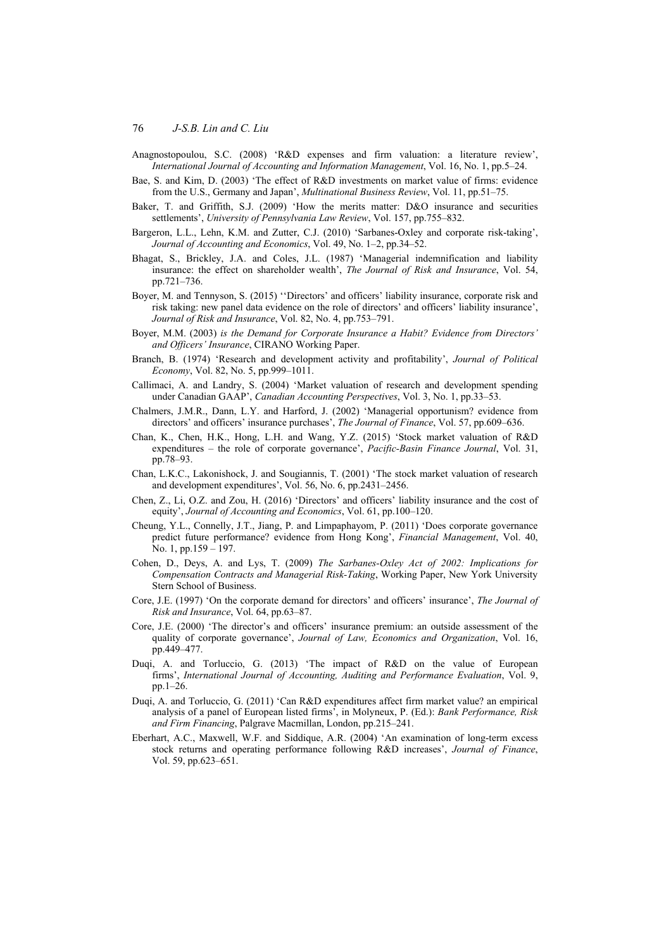- Anagnostopoulou, S.C. (2008) 'R&D expenses and firm valuation: a literature review', *International Journal of Accounting and Information Management*, Vol. 16, No. 1, pp.5–24.
- Bae, S. and Kim, D. (2003) 'The effect of R&D investments on market value of firms: evidence from the U.S., Germany and Japan', *Multinational Business Review*, Vol. 11, pp.51–75.
- Baker, T. and Griffith, S.J. (2009) 'How the merits matter: D&O insurance and securities settlements', *University of Pennsylvania Law Review*, Vol. 157, pp.755–832.
- Bargeron, L.L., Lehn, K.M. and Zutter, C.J. (2010) 'Sarbanes-Oxley and corporate risk-taking', *Journal of Accounting and Economics*, Vol. 49, No. 1–2, pp.34–52.
- Bhagat, S., Brickley, J.A. and Coles, J.L. (1987) 'Managerial indemnification and liability insurance: the effect on shareholder wealth', *The Journal of Risk and Insurance*, Vol. 54, pp.721–736.
- Boyer, M. and Tennyson, S. (2015) ''Directors' and officers' liability insurance, corporate risk and risk taking: new panel data evidence on the role of directors' and officers' liability insurance', *Journal of Risk and Insurance*, Vol. 82, No. 4, pp.753–791.
- Boyer, M.M. (2003) *is the Demand for Corporate Insurance a Habit? Evidence from Directors' and Officers' Insurance*, CIRANO Working Paper.
- Branch, B. (1974) 'Research and development activity and profitability', *Journal of Political Economy*, Vol. 82, No. 5, pp.999–1011.
- Callimaci, A. and Landry, S. (2004) 'Market valuation of research and development spending under Canadian GAAP', *Canadian Accounting Perspectives*, Vol. 3, No. 1, pp.33–53.
- Chalmers, J.M.R., Dann, L.Y. and Harford, J. (2002) 'Managerial opportunism? evidence from directors' and officers' insurance purchases', *The Journal of Finance*, Vol. 57, pp.609–636.
- Chan, K., Chen, H.K., Hong, L.H. and Wang, Y.Z. (2015) 'Stock market valuation of R&D expenditures – the role of corporate governance', *Pacific-Basin Finance Journal*, Vol. 31, pp.78–93.
- Chan, L.K.C., Lakonishock, J. and Sougiannis, T. (2001) 'The stock market valuation of research and development expenditures', Vol. 56, No. 6, pp.2431–2456.
- Chen, Z., Li, O.Z. and Zou, H. (2016) 'Directors' and officers' liability insurance and the cost of equity', *Journal of Accounting and Economics*, Vol. 61, pp.100–120.
- Cheung, Y.L., Connelly, J.T., Jiang, P. and Limpaphayom, P. (2011) 'Does corporate governance predict future performance? evidence from Hong Kong', *Financial Management*, Vol. 40, No. 1, pp.159 – 197.
- Cohen, D., Deys, A. and Lys, T. (2009) *The Sarbanes-Oxley Act of 2002: Implications for Compensation Contracts and Managerial Risk-Taking*, Working Paper, New York University Stern School of Business.
- Core, J.E. (1997) 'On the corporate demand for directors' and officers' insurance', *The Journal of Risk and Insurance*, Vol. 64, pp.63–87.
- Core, J.E. (2000) 'The director's and officers' insurance premium: an outside assessment of the quality of corporate governance', *Journal of Law, Economics and Organization*, Vol. 16, pp.449–477.
- Duqi, A. and Torluccio, G. (2013) 'The impact of R&D on the value of European firms', *International Journal of Accounting, Auditing and Performance Evaluation*, Vol. 9, pp.1–26.
- Duqi, A. and Torluccio, G. (2011) 'Can R&D expenditures affect firm market value? an empirical analysis of a panel of European listed firms', in Molyneux, P. (Ed.): *Bank Performance, Risk and Firm Financing*, Palgrave Macmillan, London, pp.215–241.
- Eberhart, A.C., Maxwell, W.F. and Siddique, A.R. (2004) 'An examination of long-term excess stock returns and operating performance following R&D increases', *Journal of Finance*, Vol. 59, pp.623–651.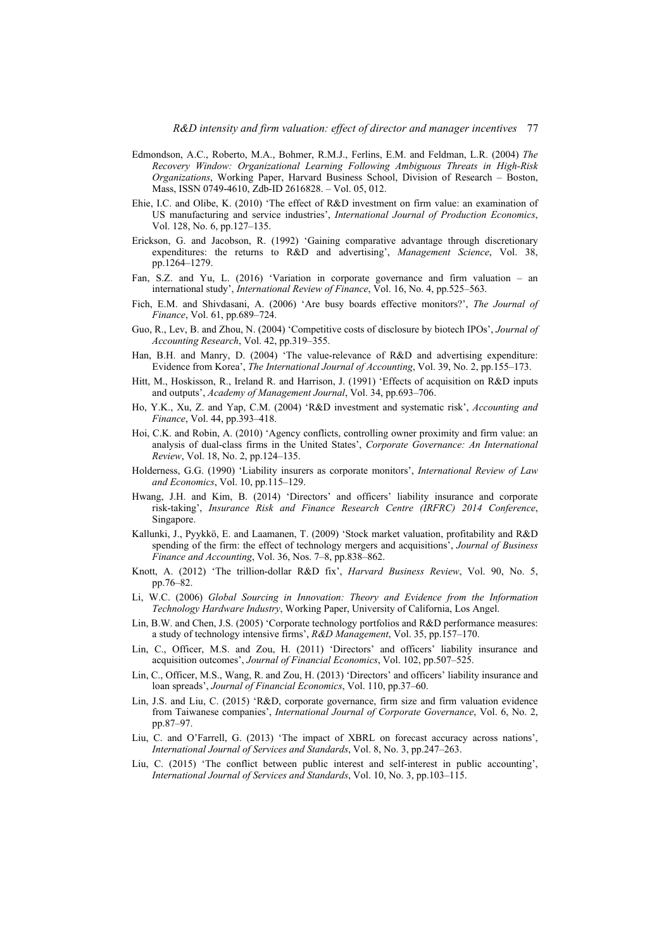- Edmondson, A.C., Roberto, M.A., Bohmer, R.M.J., Ferlins, E.M. and Feldman, L.R. (2004) *The Recovery Window: Organizational Learning Following Ambiguous Threats in High-Risk Organizations*, Working Paper, Harvard Business School, Division of Research – Boston, Mass, ISSN 0749-4610, Zdb-ID 2616828. – Vol. 05, 012.
- Ehie, I.C. and Olibe, K. (2010) 'The effect of R&D investment on firm value: an examination of US manufacturing and service industries', *International Journal of Production Economics*, Vol. 128, No. 6, pp.127–135.
- Erickson, G. and Jacobson, R. (1992) 'Gaining comparative advantage through discretionary expenditures: the returns to R&D and advertising', *Management Science*, Vol. 38, pp.1264–1279.
- Fan, S.Z. and Yu, L. (2016) 'Variation in corporate governance and firm valuation an international study', *International Review of Finance*, Vol. 16, No. 4, pp.525–563.
- Fich, E.M. and Shivdasani, A. (2006) 'Are busy boards effective monitors?', *The Journal of Finance*, Vol. 61, pp.689–724.
- Guo, R., Lev, B. and Zhou, N. (2004) 'Competitive costs of disclosure by biotech IPOs', *Journal of Accounting Research*, Vol. 42, pp.319–355.
- Han, B.H. and Manry, D. (2004) 'The value-relevance of R&D and advertising expenditure: Evidence from Korea', *The International Journal of Accounting*, Vol. 39, No. 2, pp.155–173.
- Hitt, M., Hoskisson, R., Ireland R. and Harrison, J. (1991) 'Effects of acquisition on R&D inputs and outputs', *Academy of Management Journal*, Vol. 34, pp.693–706.
- Ho, Y.K., Xu, Z. and Yap, C.M. (2004) 'R&D investment and systematic risk', *Accounting and Finance*, Vol. 44, pp.393–418.
- Hoi, C.K. and Robin, A. (2010) 'Agency conflicts, controlling owner proximity and firm value: an analysis of dual-class firms in the United States', *Corporate Governance: An International Review*, Vol. 18, No. 2, pp.124–135.
- Holderness, G.G. (1990) 'Liability insurers as corporate monitors', *International Review of Law and Economics*, Vol. 10, pp.115–129.
- Hwang, J.H. and Kim, B. (2014) 'Directors' and officers' liability insurance and corporate risk-taking', *Insurance Risk and Finance Research Centre (IRFRC) 2014 Conference*, Singapore.
- Kallunki, J., Pyykkö, E. and Laamanen, T. (2009) 'Stock market valuation, profitability and R&D spending of the firm: the effect of technology mergers and acquisitions', *Journal of Business Finance and Accounting*, Vol. 36, Nos. 7–8, pp.838–862.
- Knott, A. (2012) 'The trillion-dollar R&D fix', *Harvard Business Review*, Vol. 90, No. 5, pp.76–82.
- Li, W.C. (2006) *Global Sourcing in Innovation: Theory and Evidence from the Information Technology Hardware Industry*, Working Paper, University of California, Los Angel.
- Lin, B.W. and Chen, J.S. (2005) 'Corporate technology portfolios and R&D performance measures: a study of technology intensive firms', *R&D Management*, Vol. 35, pp.157–170.
- Lin, C., Officer, M.S. and Zou, H. (2011) 'Directors' and officers' liability insurance and acquisition outcomes', *Journal of Financial Economics*, Vol. 102, pp.507–525.
- Lin, C., Officer, M.S., Wang, R. and Zou, H. (2013) 'Directors' and officers' liability insurance and loan spreads', *Journal of Financial Economics*, Vol. 110, pp.37–60.
- Lin, J.S. and Liu, C. (2015) 'R&D, corporate governance, firm size and firm valuation evidence from Taiwanese companies', *International Journal of Corporate Governance*, Vol. 6, No. 2, pp.87–97.
- Liu, C. and O'Farrell, G. (2013) 'The impact of XBRL on forecast accuracy across nations', *International Journal of Services and Standards*, Vol. 8, No. 3, pp.247–263.
- Liu, C. (2015) 'The conflict between public interest and self-interest in public accounting', *International Journal of Services and Standards*, Vol. 10, No. 3, pp.103–115.